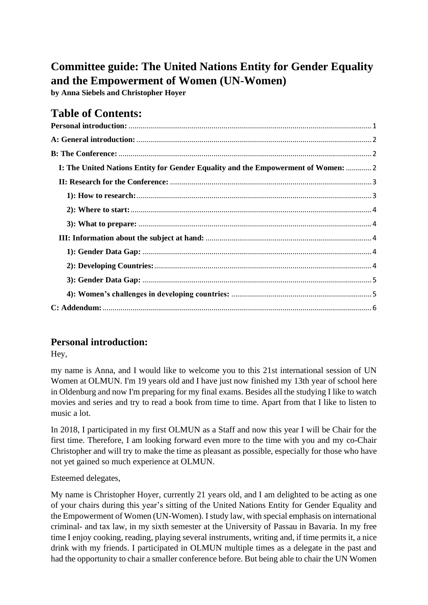# **Committee guide: The United Nations Entity for Gender Equality and the Empowerment of Women (UN-Women)**

**by Anna Siebels and Christopher Hoyer**

## **Table of Contents:**

| I: The United Nations Entity for Gender Equality and the Empowerment of Women:  2 |  |
|-----------------------------------------------------------------------------------|--|
|                                                                                   |  |
|                                                                                   |  |
|                                                                                   |  |
|                                                                                   |  |
|                                                                                   |  |
|                                                                                   |  |
|                                                                                   |  |
|                                                                                   |  |
|                                                                                   |  |
|                                                                                   |  |
|                                                                                   |  |

### <span id="page-0-0"></span>**Personal introduction:**

Hey,

my name is Anna, and I would like to welcome you to this 21st international session of UN Women at OLMUN. I'm 19 years old and I have just now finished my 13th year of school here in Oldenburg and now I'm preparing for my final exams. Besides all the studying I like to watch movies and series and try to read a book from time to time. Apart from that I like to listen to music a lot.

In 2018, I participated in my first OLMUN as a Staff and now this year I will be Chair for the first time. Therefore, I am looking forward even more to the time with you and my co-Chair Christopher and will try to make the time as pleasant as possible, especially for those who have not yet gained so much experience at OLMUN.

Esteemed delegates,

My name is Christopher Hoyer, currently 21 years old, and I am delighted to be acting as one of your chairs during this year's sitting of the United Nations Entity for Gender Equality and the Empowerment of Women (UN-Women). I study law, with special emphasis on international criminal- and tax law, in my sixth semester at the University of Passau in Bavaria. In my free time I enjoy cooking, reading, playing several instruments, writing and, if time permits it, a nice drink with my friends. I participated in OLMUN multiple times as a delegate in the past and had the opportunity to chair a smaller conference before. But being able to chair the UN Women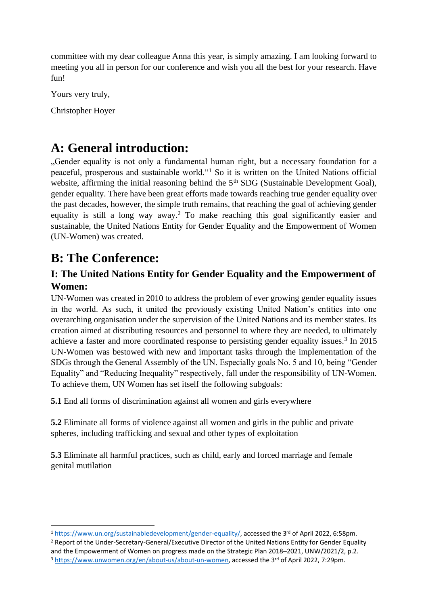committee with my dear colleague Anna this year, is simply amazing. I am looking forward to meeting you all in person for our conference and wish you all the best for your research. Have fun!

Yours very truly,

Christopher Hoyer

## <span id="page-1-0"></span>**A: General introduction:**

"Gender equality is not only a fundamental human right, but a necessary foundation for a peaceful, prosperous and sustainable world."<sup>1</sup> So it is written on the United Nations official website, affirming the initial reasoning behind the 5<sup>th</sup> SDG (Sustainable Development Goal), gender equality. There have been great efforts made towards reaching true gender equality over the past decades, however, the simple truth remains, that reaching the goal of achieving gender equality is still a long way away.<sup>2</sup> To make reaching this goal significantly easier and sustainable, the United Nations Entity for Gender Equality and the Empowerment of Women (UN-Women) was created.

## <span id="page-1-1"></span>**B: The Conference:**

### <span id="page-1-2"></span>**I: The United Nations Entity for Gender Equality and the Empowerment of Women:**

UN-Women was created in 2010 to address the problem of ever growing gender equality issues in the world. As such, it united the previously existing United Nation's entities into one overarching organisation under the supervision of the United Nations and its member states. Its creation aimed at distributing resources and personnel to where they are needed, to ultimately achieve a faster and more coordinated response to persisting gender equality issues.<sup>3</sup> In 2015 UN-Women was bestowed with new and important tasks through the implementation of the SDGs through the General Assembly of the UN. Especially goals No. 5 and 10, being "Gender Equality" and "Reducing Inequality" respectively, fall under the responsibility of UN-Women. To achieve them, UN Women has set itself the following subgoals:

**5.1** End all forms of discrimination against all women and girls everywhere

**5.2** Eliminate all forms of violence against all women and girls in the public and private spheres, including trafficking and sexual and other types of exploitation

**5.3** Eliminate all harmful practices, such as child, early and forced marriage and female genital mutilation

<sup>1</sup> [https://www.un.org/sustainabledevelopment/gender-equality/,](https://www.un.org/sustainabledevelopment/gender-equality/) accessed the 3rd of April 2022, 6:58pm.

<sup>2</sup> Report of the Under-Secretary-General/Executive Director of the United Nations Entity for Gender Equality and the Empowerment of Women on progress made on the Strategic Plan 2018–2021, UNW/2021/2, p.2.

<sup>&</sup>lt;sup>3</sup> [https://www.unwomen.org/en/about-us/about-un-women,](https://www.unwomen.org/en/about-us/about-un-women) accessed the 3<sup>rd</sup> of April 2022, 7:29pm.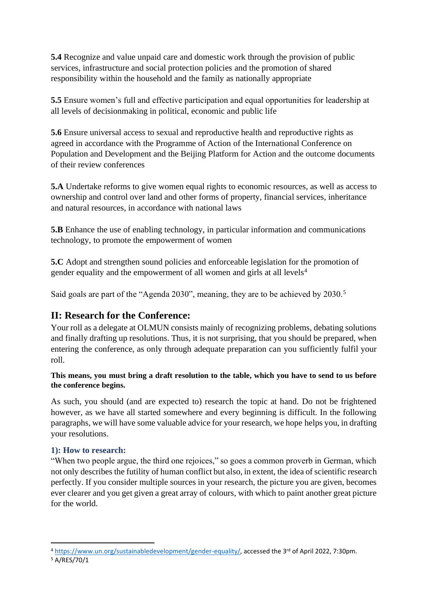**5.4** Recognize and value unpaid care and domestic work through the provision of public services, infrastructure and social protection policies and the promotion of shared responsibility within the household and the family as nationally appropriate

**5.5** Ensure women's full and effective participation and equal opportunities for leadership at all levels of decisionmaking in political, economic and public life

**5.6** Ensure universal access to sexual and reproductive health and reproductive rights as agreed in accordance with the Programme of Action of the International Conference on Population and Development and the Beijing Platform for Action and the outcome documents of their review conferences

**5.A** Undertake reforms to give women equal rights to economic resources, as well as access to ownership and control over land and other forms of property, financial services, inheritance and natural resources, in accordance with national laws

**5.B** Enhance the use of enabling technology, in particular information and communications technology, to promote the empowerment of women

**5.C** Adopt and strengthen sound policies and enforceable legislation for the promotion of gender equality and the empowerment of all women and girls at all levels<sup>4</sup>

Said goals are part of the "Agenda 2030", meaning, they are to be achieved by 2030.<sup>5</sup>

### <span id="page-2-0"></span>**II: Research for the Conference:**

Your roll as a delegate at OLMUN consists mainly of recognizing problems, debating solutions and finally drafting up resolutions. Thus, it is not surprising, that you should be prepared, when entering the conference, as only through adequate preparation can you sufficiently fulfil your roll.

#### **This means, you must bring a draft resolution to the table, which you have to send to us before the conference begins.**

As such, you should (and are expected to) research the topic at hand. Do not be frightened however, as we have all started somewhere and every beginning is difficult. In the following paragraphs, we will have some valuable advice for your research, we hope helps you, in drafting your resolutions.

#### <span id="page-2-1"></span>**1): How to research:**

"When two people argue, the third one rejoices," so goes a common proverb in German, which not only describes the futility of human conflict but also, in extent, the idea of scientific research perfectly. If you consider multiple sources in your research, the picture you are given, becomes ever clearer and you get given a great array of colours, with which to paint another great picture for the world.

<sup>&</sup>lt;sup>4</sup> [https://www.un.org/sustainabledevelopment/gender-equality/,](https://www.un.org/sustainabledevelopment/gender-equality/) accessed the 3<sup>rd</sup> of April 2022, 7:30pm.

<sup>5</sup> A/RES/70/1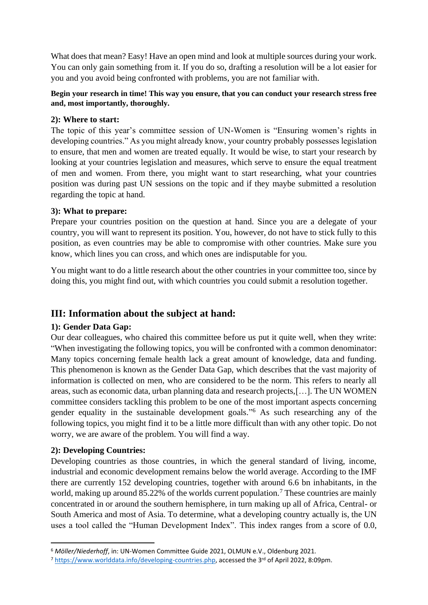What does that mean? Easy! Have an open mind and look at multiple sources during your work. You can only gain something from it. If you do so, drafting a resolution will be a lot easier for you and you avoid being confronted with problems, you are not familiar with.

#### **Begin your research in time! This way you ensure, that you can conduct your research stress free and, most importantly, thoroughly.**

#### <span id="page-3-0"></span>**2): Where to start:**

The topic of this year's committee session of UN-Women is "Ensuring women's rights in developing countries." As you might already know, your country probably possesses legislation to ensure, that men and women are treated equally. It would be wise, to start your research by looking at your countries legislation and measures, which serve to ensure the equal treatment of men and women. From there, you might want to start researching, what your countries position was during past UN sessions on the topic and if they maybe submitted a resolution regarding the topic at hand.

#### <span id="page-3-1"></span>**3): What to prepare:**

Prepare your countries position on the question at hand. Since you are a delegate of your country, you will want to represent its position. You, however, do not have to stick fully to this position, as even countries may be able to compromise with other countries. Make sure you know, which lines you can cross, and which ones are indisputable for you.

You might want to do a little research about the other countries in your committee too, since by doing this, you might find out, with which countries you could submit a resolution together.

### <span id="page-3-2"></span>**III: Information about the subject at hand:**

#### <span id="page-3-3"></span>**1): Gender Data Gap:**

Our dear colleagues, who chaired this committee before us put it quite well, when they write: "When investigating the following topics, you will be confronted with a common denominator: Many topics concerning female health lack a great amount of knowledge, data and funding. This phenomenon is known as the Gender Data Gap, which describes that the vast majority of information is collected on men, who are considered to be the norm. This refers to nearly all areas, such as economic data, urban planning data and research projects,[…]. The UN WOMEN committee considers tackling this problem to be one of the most important aspects concerning gender equality in the sustainable development goals." <sup>6</sup> As such researching any of the following topics, you might find it to be a little more difficult than with any other topic. Do not worry, we are aware of the problem. You will find a way.

#### <span id="page-3-4"></span>**2): Developing Countries:**

Developing countries as those countries, in which the general standard of living, income, industrial and economic development remains below the world average. According to the IMF there are currently 152 developing countries, together with around 6.6 bn inhabitants, in the world, making up around 85.22% of the worlds current population.<sup>7</sup> These countries are mainly concentrated in or around the southern hemisphere, in turn making up all of Africa, Central- or South America and most of Asia. To determine, what a developing country actually is, the UN uses a tool called the "Human Development Index". This index ranges from a score of 0.0,

<sup>6</sup> *Möller/Niederhoff*, in: UN-Women Committee Guide 2021, OLMUN e.V., Oldenburg 2021.

<sup>&</sup>lt;sup>7</sup> [https://www.worlddata.info/developing-countries.php,](https://www.worlddata.info/developing-countries.php) accessed the 3<sup>rd</sup> of April 2022, 8:09pm.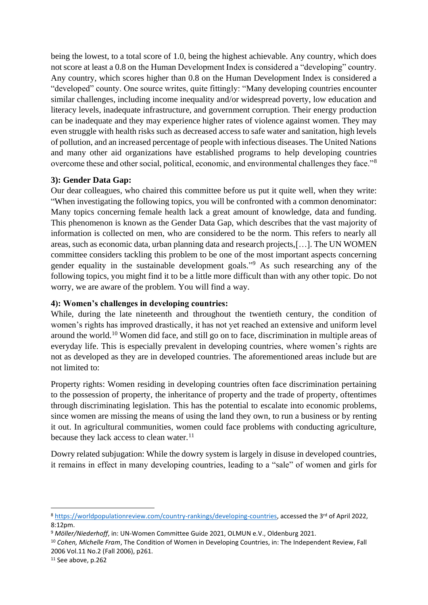being the lowest, to a total score of 1.0, being the highest achievable. Any country, which does not score at least a 0.8 on the Human Development Index is considered a "developing" country. Any country, which scores higher than 0.8 on the Human Development Index is considered a "developed" county. One source writes, quite fittingly: "Many developing countries encounter similar challenges, including income inequality and/or widespread poverty, low education and literacy levels, inadequate infrastructure, and government corruption. Their energy production can be inadequate and they may experience higher rates of violence against women. They may even struggle with health risks such as decreased access to safe water and sanitation, high levels of pollution, and an increased percentage of people with infectious diseases. The United Nations and many other aid organizations have established programs to help developing countries overcome these and other social, political, economic, and environmental challenges they face."<sup>8</sup>

#### <span id="page-4-0"></span>**3): Gender Data Gap:**

Our dear colleagues, who chaired this committee before us put it quite well, when they write: "When investigating the following topics, you will be confronted with a common denominator: Many topics concerning female health lack a great amount of knowledge, data and funding. This phenomenon is known as the Gender Data Gap, which describes that the vast majority of information is collected on men, who are considered to be the norm. This refers to nearly all areas, such as economic data, urban planning data and research projects,[…]. The UN WOMEN committee considers tackling this problem to be one of the most important aspects concerning gender equality in the sustainable development goals." <sup>9</sup> As such researching any of the following topics, you might find it to be a little more difficult than with any other topic. Do not worry, we are aware of the problem. You will find a way.

#### <span id="page-4-1"></span>**4): Women's challenges in developing countries:**

While, during the late nineteenth and throughout the twentieth century, the condition of women's rights has improved drastically, it has not yet reached an extensive and uniform level around the world.<sup>10</sup> Women did face, and still go on to face, discrimination in multiple areas of everyday life. This is especially prevalent in developing countries, where women's rights are not as developed as they are in developed countries. The aforementioned areas include but are not limited to:

Property rights: Women residing in developing countries often face discrimination pertaining to the possession of property, the inheritance of property and the trade of property, oftentimes through discriminating legislation. This has the potential to escalate into economic problems, since women are missing the means of using the land they own, to run a business or by renting it out. In agricultural communities, women could face problems with conducting agriculture, because they lack access to clean water. $11$ 

Dowry related subjugation: While the dowry system is largely in disuse in developed countries, it remains in effect in many developing countries, leading to a "sale" of women and girls for

<sup>8</sup> [https://worldpopulationreview.com/country-rankings/developing-countries,](https://worldpopulationreview.com/country-rankings/developing-countries) accessed the 3<sup>rd</sup> of April 2022, 8:12pm.

<sup>9</sup> *Möller/Niederhoff*, in: UN-Women Committee Guide 2021, OLMUN e.V., Oldenburg 2021.

<sup>10</sup> *Cohen, Michelle Fram*, The Condition of Women in Developing Countries, in: The Independent Review, Fall 2006 Vol.11 No.2 (Fall 2006), p261.

<sup>&</sup>lt;sup>11</sup> See above, p.262